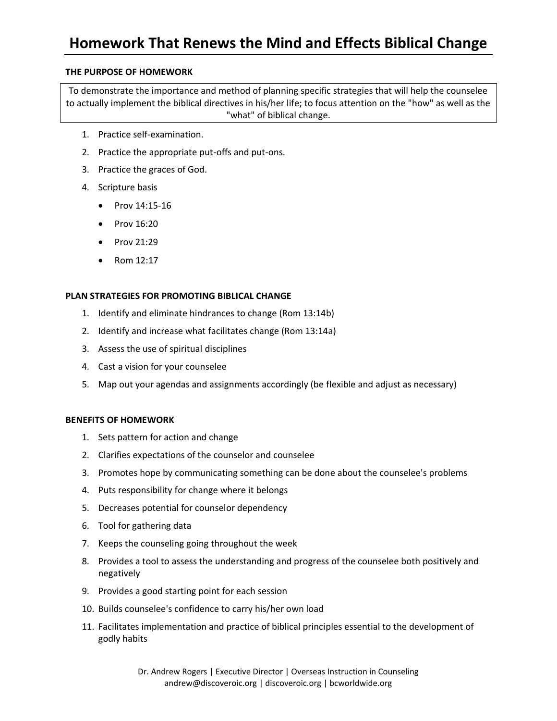# **Homework That Renews the Mind and Effects Biblical Change**

#### **THE PURPOSE OF HOMEWORK**

To demonstrate the importance and method of planning specific strategies that will help the counselee to actually implement the biblical directives in his/her life; to focus attention on the "how" as well as the "what" of biblical change.

- 1. Practice self-examination.
- 2. Practice the appropriate put-offs and put-ons.
- 3. Practice the graces of God.
- 4. Scripture basis
	- Prov 14:15-16
	- Prov 16:20
	- Prov 21:29
	- Rom 12:17

#### **PLAN STRATEGIES FOR PROMOTING BIBLICAL CHANGE**

- 1. Identify and eliminate hindrances to change (Rom 13:14b)
- 2. Identify and increase what facilitates change (Rom 13:14a)
- 3. Assess the use of spiritual disciplines
- 4. Cast a vision for your counselee
- 5. Map out your agendas and assignments accordingly (be flexible and adjust as necessary)

#### **BENEFITS OF HOMEWORK**

- 1. Sets pattern for action and change
- 2. Clarifies expectations of the counselor and counselee
- 3. Promotes hope by communicating something can be done about the counselee's problems
- 4. Puts responsibility for change where it belongs
- 5. Decreases potential for counselor dependency
- 6. Tool for gathering data
- 7. Keeps the counseling going throughout the week
- 8. Provides a tool to assess the understanding and progress of the counselee both positively and negatively
- 9. Provides a good starting point for each session
- 10. Builds counselee's confidence to carry his/her own load
- 11. Facilitates implementation and practice of biblical principles essential to the development of godly habits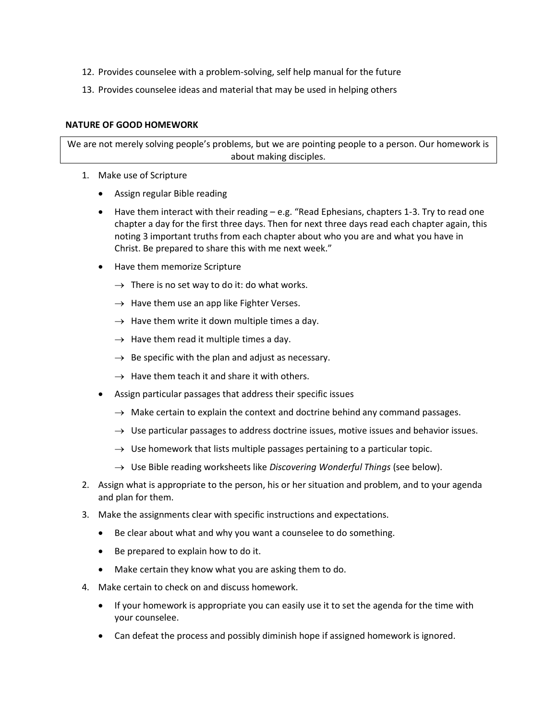- 12. Provides counselee with a problem-solving, self help manual for the future
- 13. Provides counselee ideas and material that may be used in helping others

#### **NATURE OF GOOD HOMEWORK**

We are not merely solving people's problems, but we are pointing people to a person. Our homework is about making disciples.

- 1. Make use of Scripture
	- Assign regular Bible reading
	- Have them interact with their reading e.g. "Read Ephesians, chapters 1-3. Try to read one chapter a day for the first three days. Then for next three days read each chapter again, this noting 3 important truths from each chapter about who you are and what you have in Christ. Be prepared to share this with me next week."
	- Have them memorize Scripture
		- $\rightarrow$  There is no set way to do it: do what works.
		- $\rightarrow$  Have them use an app like Fighter Verses.
		- $\rightarrow$  Have them write it down multiple times a day.
		- $\rightarrow$  Have them read it multiple times a day.
		- $\rightarrow$  Be specific with the plan and adjust as necessary.
		- $\rightarrow$  Have them teach it and share it with others.
	- Assign particular passages that address their specific issues
		- $\rightarrow$  Make certain to explain the context and doctrine behind any command passages.
		- $\rightarrow$  Use particular passages to address doctrine issues, motive issues and behavior issues.
		- $\rightarrow$  Use homework that lists multiple passages pertaining to a particular topic.
		- → Use Bible reading worksheets like *Discovering Wonderful Things* (see below).
- 2. Assign what is appropriate to the person, his or her situation and problem, and to your agenda and plan for them.
- 3. Make the assignments clear with specific instructions and expectations.
	- Be clear about what and why you want a counselee to do something.
	- Be prepared to explain how to do it.
	- Make certain they know what you are asking them to do.
- 4. Make certain to check on and discuss homework.
	- If your homework is appropriate you can easily use it to set the agenda for the time with your counselee.
	- Can defeat the process and possibly diminish hope if assigned homework is ignored.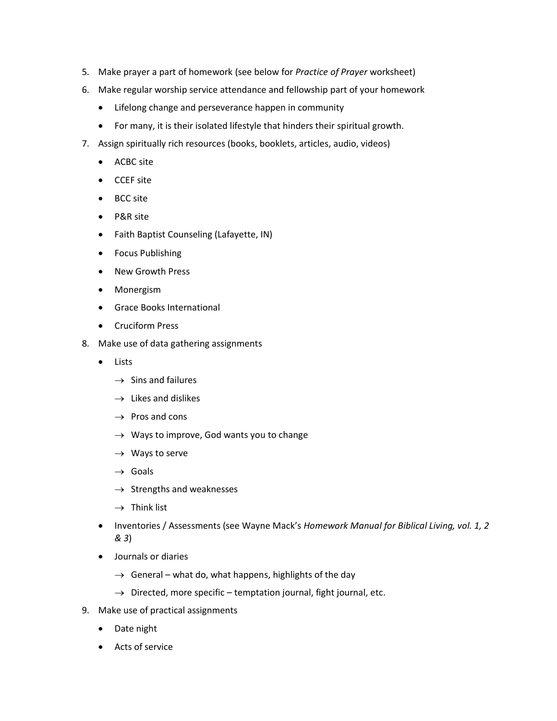- 5. Make prayer a part of homework (see below for *Practice of Prayer* worksheet)
- 6. Make regular worship service attendance and fellowship part of your homework
	- Lifelong change and perseverance happen in community
	- For many, it is their isolated lifestyle that hinders their spiritual growth.
- 7. Assign spiritually rich resources (books, booklets, articles, audio, videos)
	- ACBC site
	- CCEF site
	- BCC site
	- P&R site
	- Faith Baptist Counseling (Lafayette, IN)
	- Focus Publishing
	- New Growth Press
	- Monergism
	- Grace Books International
	- Cruciform Press
- 8. Make use of data gathering assignments
	- Lists
		- $\rightarrow$  Sins and failures
		- $\rightarrow$  Likes and dislikes
		- $\rightarrow$  Pros and cons
		- $\rightarrow$  Ways to improve, God wants you to change
		- $\rightarrow$  Ways to serve
		- $\rightarrow$  Goals
		- $\rightarrow$  Strengths and weaknesses
		- $\rightarrow$  Think list
	- Inventories / Assessments (see Wayne Mack's *Homework Manual for Biblical Living, vol. 1, 2 & 3*)
	- Journals or diaries
		- $\rightarrow$  General what do, what happens, highlights of the day
		- $\rightarrow$  Directed, more specific temptation journal, fight journal, etc.
- 9. Make use of practical assignments
	- Date night
	- Acts of service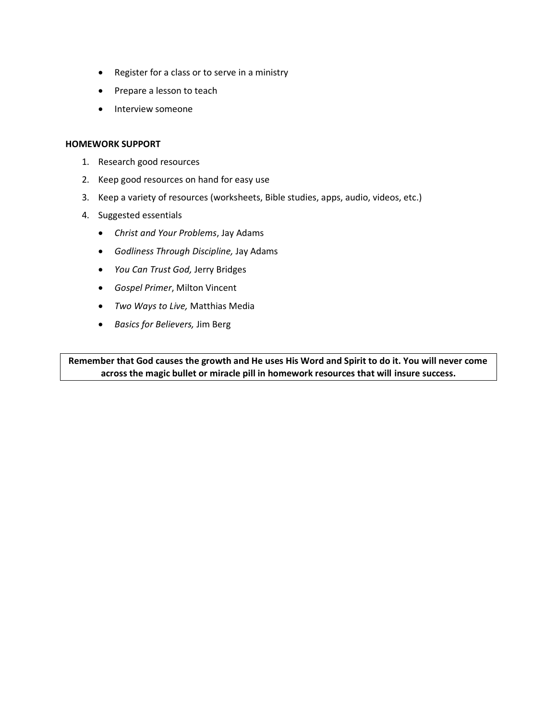- Register for a class or to serve in a ministry
- Prepare a lesson to teach
- Interview someone

#### **HOMEWORK SUPPORT**

- 1. Research good resources
- 2. Keep good resources on hand for easy use
- 3. Keep a variety of resources (worksheets, Bible studies, apps, audio, videos, etc.)
- 4. Suggested essentials
	- *Christ and Your Problems*, Jay Adams
	- *Godliness Through Discipline,* Jay Adams
	- *You Can Trust God,* Jerry Bridges
	- *Gospel Primer*, Milton Vincent
	- *Two Ways to Live,* Matthias Media
	- *Basics for Believers,* Jim Berg

**Remember that God causes the growth and He uses His Word and Spirit to do it. You will never come across the magic bullet or miracle pill in homework resources that will insure success.**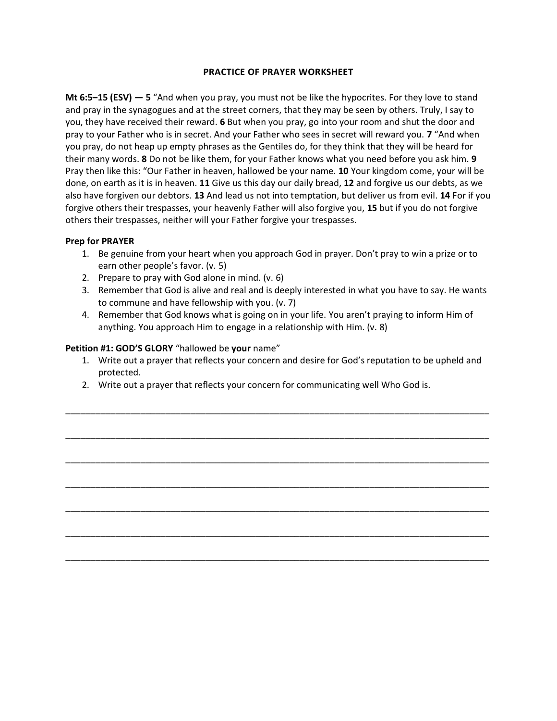#### **PRACTICE OF PRAYER WORKSHEET**

**Mt 6:5–15 (ESV) — 5** "And when you pray, you must not be like the hypocrites. For they love to stand and pray in the synagogues and at the street corners, that they may be seen by others. Truly, I say to you, they have received their reward. **6** But when you pray, go into your room and shut the door and pray to your Father who is in secret. And your Father who sees in secret will reward you. **7** "And when you pray, do not heap up empty phrases as the Gentiles do, for they think that they will be heard for their many words. **8** Do not be like them, for your Father knows what you need before you ask him. **9** Pray then like this: "Our Father in heaven, hallowed be your name. **10** Your kingdom come, your will be done, on earth as it is in heaven. **11** Give us this day our daily bread, **12** and forgive us our debts, as we also have forgiven our debtors. **13** And lead us not into temptation, but deliver us from evil. **14** For if you forgive others their trespasses, your heavenly Father will also forgive you, **15** but if you do not forgive others their trespasses, neither will your Father forgive your trespasses.

#### **Prep for PRAYER**

- 1. Be genuine from your heart when you approach God in prayer. Don't pray to win a prize or to earn other people's favor. (v. 5)
- 2. Prepare to pray with God alone in mind. (v. 6)
- 3. Remember that God is alive and real and is deeply interested in what you have to say. He wants to commune and have fellowship with you. (v. 7)
- 4. Remember that God knows what is going on in your life. You aren't praying to inform Him of anything. You approach Him to engage in a relationship with Him. (v. 8)

#### **Petition #1: GOD'S GLORY** "hallowed be **your** name"

1. Write out a prayer that reflects your concern and desire for God's reputation to be upheld and protected.

\_\_\_\_\_\_\_\_\_\_\_\_\_\_\_\_\_\_\_\_\_\_\_\_\_\_\_\_\_\_\_\_\_\_\_\_\_\_\_\_\_\_\_\_\_\_\_\_\_\_\_\_\_\_\_\_\_\_\_\_\_\_\_\_\_\_\_\_\_\_\_\_\_\_\_\_\_\_\_\_\_\_\_\_\_

\_\_\_\_\_\_\_\_\_\_\_\_\_\_\_\_\_\_\_\_\_\_\_\_\_\_\_\_\_\_\_\_\_\_\_\_\_\_\_\_\_\_\_\_\_\_\_\_\_\_\_\_\_\_\_\_\_\_\_\_\_\_\_\_\_\_\_\_\_\_\_\_\_\_\_\_\_\_\_\_\_\_\_\_\_

\_\_\_\_\_\_\_\_\_\_\_\_\_\_\_\_\_\_\_\_\_\_\_\_\_\_\_\_\_\_\_\_\_\_\_\_\_\_\_\_\_\_\_\_\_\_\_\_\_\_\_\_\_\_\_\_\_\_\_\_\_\_\_\_\_\_\_\_\_\_\_\_\_\_\_\_\_\_\_\_\_\_\_\_\_

\_\_\_\_\_\_\_\_\_\_\_\_\_\_\_\_\_\_\_\_\_\_\_\_\_\_\_\_\_\_\_\_\_\_\_\_\_\_\_\_\_\_\_\_\_\_\_\_\_\_\_\_\_\_\_\_\_\_\_\_\_\_\_\_\_\_\_\_\_\_\_\_\_\_\_\_\_\_\_\_\_\_\_\_\_

\_\_\_\_\_\_\_\_\_\_\_\_\_\_\_\_\_\_\_\_\_\_\_\_\_\_\_\_\_\_\_\_\_\_\_\_\_\_\_\_\_\_\_\_\_\_\_\_\_\_\_\_\_\_\_\_\_\_\_\_\_\_\_\_\_\_\_\_\_\_\_\_\_\_\_\_\_\_\_\_\_\_\_\_\_

\_\_\_\_\_\_\_\_\_\_\_\_\_\_\_\_\_\_\_\_\_\_\_\_\_\_\_\_\_\_\_\_\_\_\_\_\_\_\_\_\_\_\_\_\_\_\_\_\_\_\_\_\_\_\_\_\_\_\_\_\_\_\_\_\_\_\_\_\_\_\_\_\_\_\_\_\_\_\_\_\_\_\_\_\_

\_\_\_\_\_\_\_\_\_\_\_\_\_\_\_\_\_\_\_\_\_\_\_\_\_\_\_\_\_\_\_\_\_\_\_\_\_\_\_\_\_\_\_\_\_\_\_\_\_\_\_\_\_\_\_\_\_\_\_\_\_\_\_\_\_\_\_\_\_\_\_\_\_\_\_\_\_\_\_\_\_\_\_\_\_

2. Write out a prayer that reflects your concern for communicating well Who God is.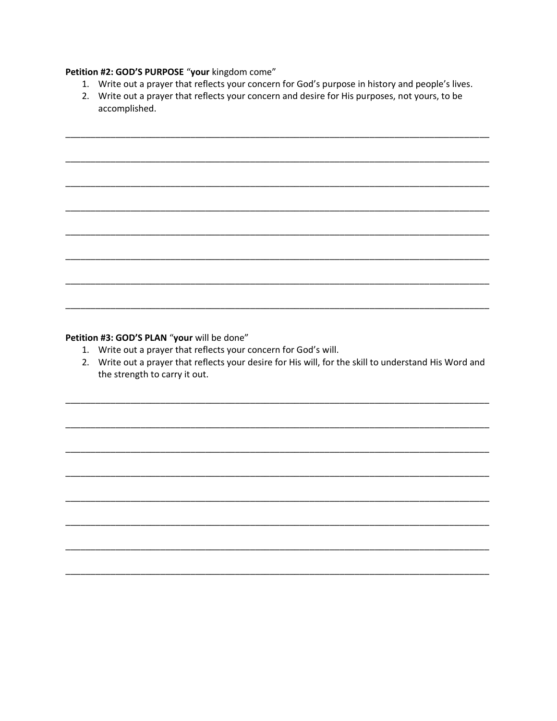#### Petition #2: GOD'S PURPOSE "your kingdom come"

- 1. Write out a prayer that reflects your concern for God's purpose in history and people's lives.
- 2. Write out a prayer that reflects your concern and desire for His purposes, not yours, to be accomplished.

#### Petition #3: GOD'S PLAN "your will be done"

- 1. Write out a prayer that reflects your concern for God's will.
- 2. Write out a prayer that reflects your desire for His will, for the skill to understand His Word and the strength to carry it out.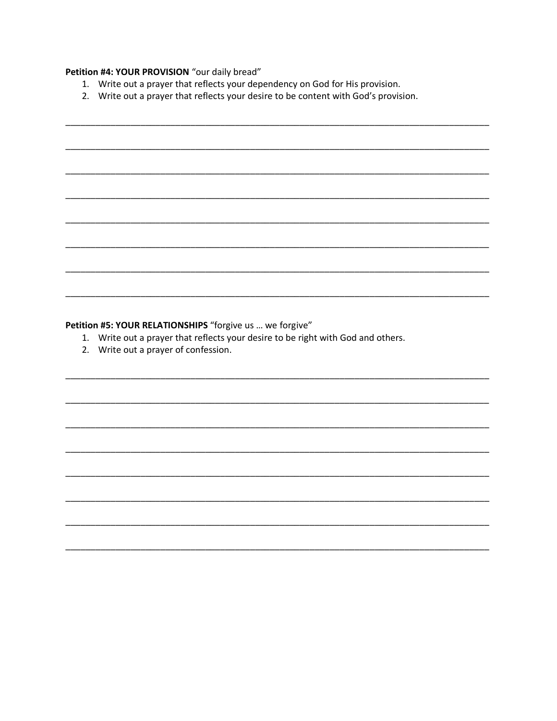## Petition #4: YOUR PROVISION "our daily bread"

- 1. Write out a prayer that reflects your dependency on God for His provision.
- 2. Write out a prayer that reflects your desire to be content with God's provision.

### Petition #5: YOUR RELATIONSHIPS "forgive us ... we forgive"

- 1. Write out a prayer that reflects your desire to be right with God and others.
- 2. Write out a prayer of confession.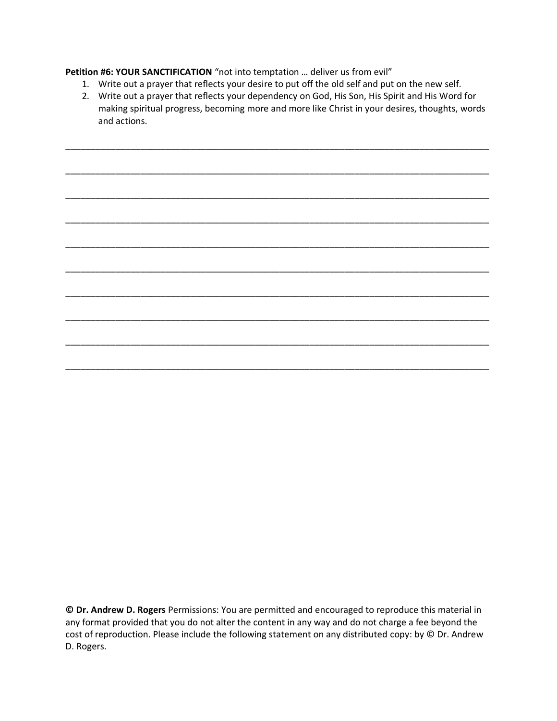**Petition #6: YOUR SANCTIFICATION** "not into temptation … deliver us from evil"

- 1. Write out a prayer that reflects your desire to put off the old self and put on the new self.
- 2. Write out a prayer that reflects your dependency on God, His Son, His Spirit and His Word for making spiritual progress, becoming more and more like Christ in your desires, thoughts, words and actions.

\_\_\_\_\_\_\_\_\_\_\_\_\_\_\_\_\_\_\_\_\_\_\_\_\_\_\_\_\_\_\_\_\_\_\_\_\_\_\_\_\_\_\_\_\_\_\_\_\_\_\_\_\_\_\_\_\_\_\_\_\_\_\_\_\_\_\_\_\_\_\_\_\_\_\_\_\_\_\_\_\_\_\_\_\_

\_\_\_\_\_\_\_\_\_\_\_\_\_\_\_\_\_\_\_\_\_\_\_\_\_\_\_\_\_\_\_\_\_\_\_\_\_\_\_\_\_\_\_\_\_\_\_\_\_\_\_\_\_\_\_\_\_\_\_\_\_\_\_\_\_\_\_\_\_\_\_\_\_\_\_\_\_\_\_\_\_\_\_\_\_

\_\_\_\_\_\_\_\_\_\_\_\_\_\_\_\_\_\_\_\_\_\_\_\_\_\_\_\_\_\_\_\_\_\_\_\_\_\_\_\_\_\_\_\_\_\_\_\_\_\_\_\_\_\_\_\_\_\_\_\_\_\_\_\_\_\_\_\_\_\_\_\_\_\_\_\_\_\_\_\_\_\_\_\_\_

\_\_\_\_\_\_\_\_\_\_\_\_\_\_\_\_\_\_\_\_\_\_\_\_\_\_\_\_\_\_\_\_\_\_\_\_\_\_\_\_\_\_\_\_\_\_\_\_\_\_\_\_\_\_\_\_\_\_\_\_\_\_\_\_\_\_\_\_\_\_\_\_\_\_\_\_\_\_\_\_\_\_\_\_\_

\_\_\_\_\_\_\_\_\_\_\_\_\_\_\_\_\_\_\_\_\_\_\_\_\_\_\_\_\_\_\_\_\_\_\_\_\_\_\_\_\_\_\_\_\_\_\_\_\_\_\_\_\_\_\_\_\_\_\_\_\_\_\_\_\_\_\_\_\_\_\_\_\_\_\_\_\_\_\_\_\_\_\_\_\_

\_\_\_\_\_\_\_\_\_\_\_\_\_\_\_\_\_\_\_\_\_\_\_\_\_\_\_\_\_\_\_\_\_\_\_\_\_\_\_\_\_\_\_\_\_\_\_\_\_\_\_\_\_\_\_\_\_\_\_\_\_\_\_\_\_\_\_\_\_\_\_\_\_\_\_\_\_\_\_\_\_\_\_\_\_

\_\_\_\_\_\_\_\_\_\_\_\_\_\_\_\_\_\_\_\_\_\_\_\_\_\_\_\_\_\_\_\_\_\_\_\_\_\_\_\_\_\_\_\_\_\_\_\_\_\_\_\_\_\_\_\_\_\_\_\_\_\_\_\_\_\_\_\_\_\_\_\_\_\_\_\_\_\_\_\_\_\_\_\_\_

\_\_\_\_\_\_\_\_\_\_\_\_\_\_\_\_\_\_\_\_\_\_\_\_\_\_\_\_\_\_\_\_\_\_\_\_\_\_\_\_\_\_\_\_\_\_\_\_\_\_\_\_\_\_\_\_\_\_\_\_\_\_\_\_\_\_\_\_\_\_\_\_\_\_\_\_\_\_\_\_\_\_\_\_\_

\_\_\_\_\_\_\_\_\_\_\_\_\_\_\_\_\_\_\_\_\_\_\_\_\_\_\_\_\_\_\_\_\_\_\_\_\_\_\_\_\_\_\_\_\_\_\_\_\_\_\_\_\_\_\_\_\_\_\_\_\_\_\_\_\_\_\_\_\_\_\_\_\_\_\_\_\_\_\_\_\_\_\_\_\_

\_\_\_\_\_\_\_\_\_\_\_\_\_\_\_\_\_\_\_\_\_\_\_\_\_\_\_\_\_\_\_\_\_\_\_\_\_\_\_\_\_\_\_\_\_\_\_\_\_\_\_\_\_\_\_\_\_\_\_\_\_\_\_\_\_\_\_\_\_\_\_\_\_\_\_\_\_\_\_\_\_\_\_\_\_

**© Dr. Andrew D. Rogers** Permissions: You are permitted and encouraged to reproduce this material in any format provided that you do not alter the content in any way and do not charge a fee beyond the cost of reproduction. Please include the following statement on any distributed copy: by © Dr. Andrew D. Rogers.